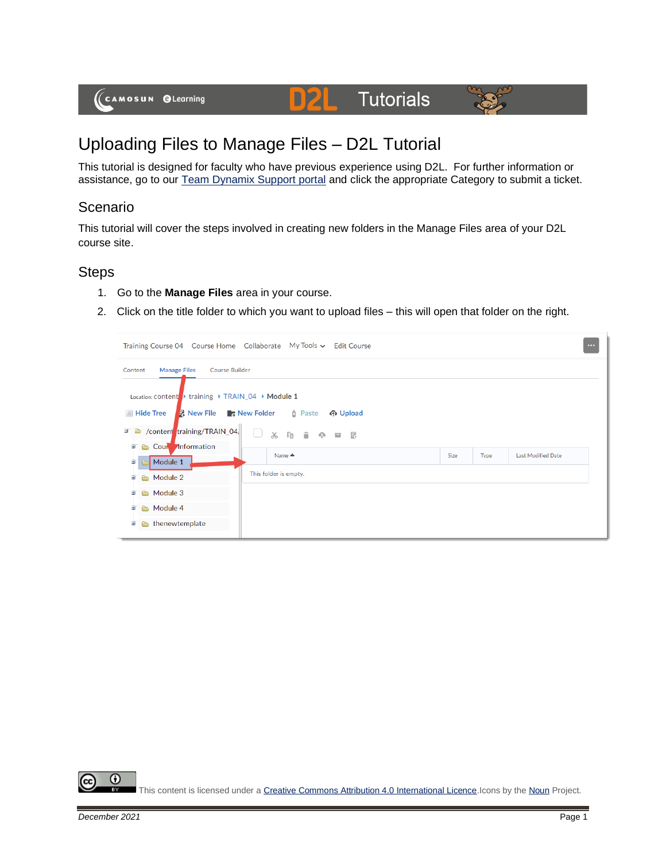



# Uploading Files to Manage Files – D2L Tutorial

D

This tutorial is designed for faculty who have previous experience using D2L. For further information or assistance, go to our [Team Dynamix Support portal](https://camosun.teamdynamix.com/TDClient/67/Portal/Requests/ServiceCatalog?CategoryID=523) and click the appropriate Category to submit a ticket.

## Scenario

This tutorial will cover the steps involved in creating new folders in the Manage Files area of your D2L course site.

### **Steps**

- 1. Go to the **Manage Files** area in your course.
- 2. Click on the title folder to which you want to upload files this will open that folder on the right.

| Training Course 04  Course Home  Collaborate  My Tools v  Edit Course                                                                                                                                                                 |                                              |             |      |                           | $\cdots$ |
|---------------------------------------------------------------------------------------------------------------------------------------------------------------------------------------------------------------------------------------|----------------------------------------------|-------------|------|---------------------------|----------|
| Content<br><b>Manage Files</b><br><b>Course Builder</b><br>Location: content > training > TRAIN_04 > Module 1<br><b>R</b> New File <b>C</b> New Folder<br>$\mathbb{R}$ Hide Tree<br>/content training/TRAIN_04<br>$\blacksquare$<br>Ж | <b>d</b> Paste<br>က Upload<br><b>胸前 ① 耳昆</b> |             |      |                           |          |
| Cour Information<br>画<br>è<br>Name $\triangle$<br>Module 1<br>由<br>P-<br>This folder is empty.<br>Module 2<br>Ë<br>$\rightarrow$                                                                                                      |                                              | <b>Size</b> | Type | <b>Last Modified Date</b> |          |
| Module 3<br>Đ<br>Module 4<br>ø<br>a,<br>thenewtemplate<br>由                                                                                                                                                                           |                                              |             |      |                           |          |
|                                                                                                                                                                                                                                       |                                              |             |      |                           |          |

0 This content is licensed under [a Creative Commons Attribution 4.0 International Licence.I](https://creativecommons.org/licenses/by/4.0/)cons by th[e Noun](https://creativecommons.org/website-icons/) Project.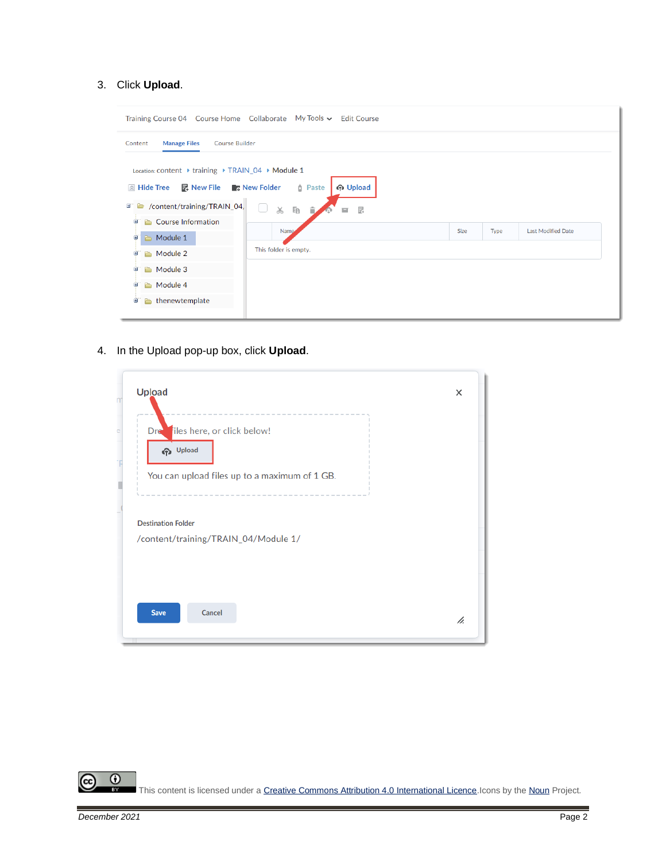#### 3. Click **Upload**.

|                                                                                                                                                                                                   | Training Course 04 Course Home Collaborate My Tools v Edit Course |             |      |                           |
|---------------------------------------------------------------------------------------------------------------------------------------------------------------------------------------------------|-------------------------------------------------------------------|-------------|------|---------------------------|
| <b>Manage Files</b><br><b>Course Builder</b><br>Content<br>Location: content ▶ training ▶ TRAIN_04 ▶ Module 1<br>△ Hide Tree <b>■ New File ■ New Folder</b><br>/content/training/TRAIN_04,<br>e i | က Upload<br><b>D</b> Paste<br>×.<br>$\chi$<br>Ee<br>昆<br>貪<br>亘   |             |      |                           |
| <b>Course Information</b><br>Ŧ<br>n an<br>Module 1<br>由<br>Module 2<br>田<br>Ò<br>Module 3<br>n.<br>п<br>Module 4<br>宙<br>Ò<br>thenewtemplate<br>Θ<br>n.                                           | <b>Name</b><br>This folder is empty.                              | <b>Size</b> | Type | <b>Last Modified Date</b> |

4. In the Upload pop-up box, click **Upload**.

| Upload                                        | × |
|-----------------------------------------------|---|
| Dree iles here, or click below!               |   |
| <b>Cp</b> Upload                              |   |
| You can upload files up to a maximum of 1 GB. |   |
|                                               |   |
|                                               |   |
| <b>Destination Folder</b>                     |   |
| /content/training/TRAIN_04/Module 1/          |   |
|                                               |   |
|                                               |   |

 $\frac{0}{x}$ ල This content is licensed under [a Creative Commons Attribution 4.0 International Licence.I](https://creativecommons.org/licenses/by/4.0/)cons by th[e Noun](https://creativecommons.org/website-icons/) Project.